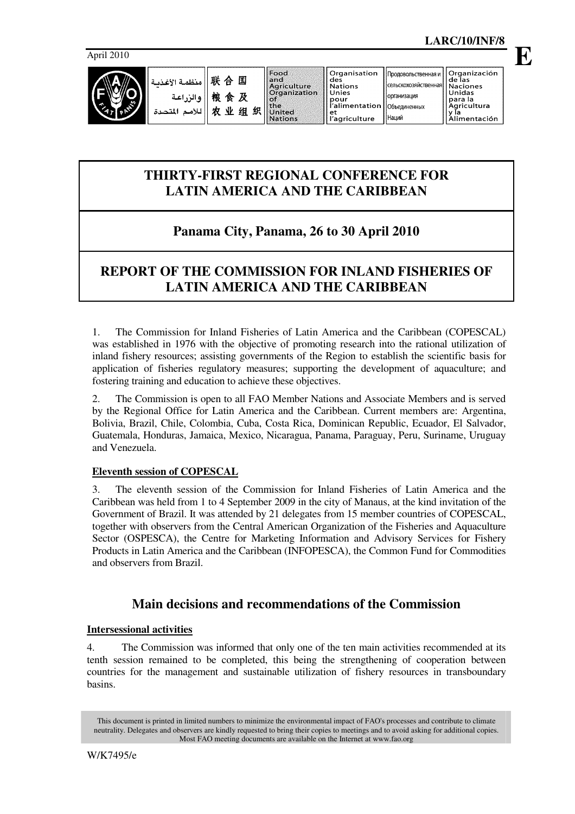

## **THIRTY-FIRST REGIONAL CONFERENCE FOR LATIN AMERICA AND THE CARIBBEAN**

# **Panama City, Panama, 26 to 30 April 2010**

## **REPORT OF THE COMMISSION FOR INLAND FISHERIES OF LATIN AMERICA AND THE CARIBBEAN**

1. The Commission for Inland Fisheries of Latin America and the Caribbean (COPESCAL) was established in 1976 with the objective of promoting research into the rational utilization of inland fishery resources; assisting governments of the Region to establish the scientific basis for application of fisheries regulatory measures; supporting the development of aquaculture; and fostering training and education to achieve these objectives.

2. The Commission is open to all FAO Member Nations and Associate Members and is served by the Regional Office for Latin America and the Caribbean. Current members are: Argentina, Bolivia, Brazil, Chile, Colombia, Cuba, Costa Rica, Dominican Republic, Ecuador, El Salvador, Guatemala, Honduras, Jamaica, Mexico, Nicaragua, Panama, Paraguay, Peru, Suriname, Uruguay and Venezuela.

## **Eleventh session of COPESCAL**

3. The eleventh session of the Commission for Inland Fisheries of Latin America and the Caribbean was held from 1 to 4 September 2009 in the city of Manaus, at the kind invitation of the Government of Brazil. It was attended by 21 delegates from 15 member countries of COPESCAL, together with observers from the Central American Organization of the Fisheries and Aquaculture Sector (OSPESCA), the Centre for Marketing Information and Advisory Services for Fishery Products in Latin America and the Caribbean (INFOPESCA), the Common Fund for Commodities and observers from Brazil.

## **Main decisions and recommendations of the Commission**

## **Intersessional activities**

4. The Commission was informed that only one of the ten main activities recommended at its tenth session remained to be completed, this being the strengthening of cooperation between countries for the management and sustainable utilization of fishery resources in transboundary basins.

This document is printed in limited numbers to minimize the environmental impact of FAO's processes and contribute to climate neutrality. Delegates and observers are kindly requested to bring their copies to meetings and to avoid asking for additional copies. Most FAO meeting documents are available on the Internet at www.fao.org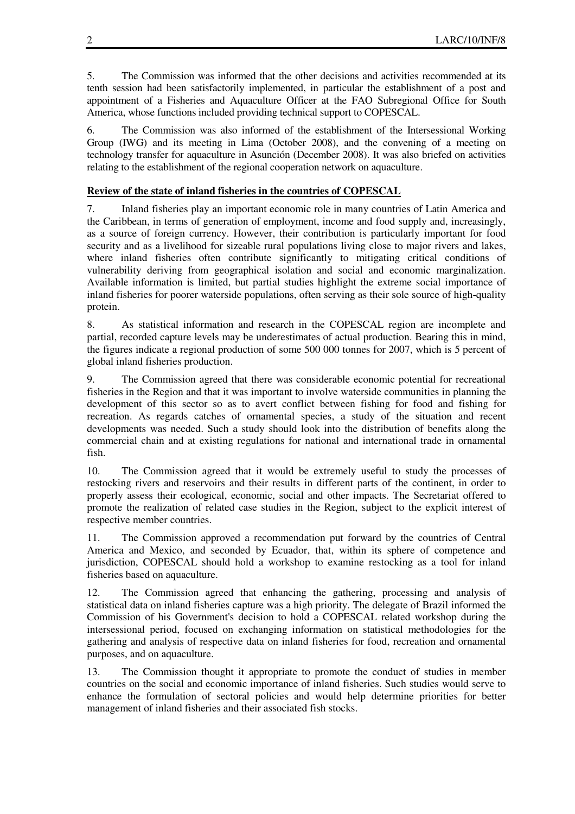5. The Commission was informed that the other decisions and activities recommended at its tenth session had been satisfactorily implemented, in particular the establishment of a post and appointment of a Fisheries and Aquaculture Officer at the FAO Subregional Office for South America, whose functions included providing technical support to COPESCAL.

6. The Commission was also informed of the establishment of the Intersessional Working Group (IWG) and its meeting in Lima (October 2008), and the convening of a meeting on technology transfer for aquaculture in Asunción (December 2008). It was also briefed on activities relating to the establishment of the regional cooperation network on aquaculture.

## **Review of the state of inland fisheries in the countries of COPESCAL**

7. Inland fisheries play an important economic role in many countries of Latin America and the Caribbean, in terms of generation of employment, income and food supply and, increasingly, as a source of foreign currency. However, their contribution is particularly important for food security and as a livelihood for sizeable rural populations living close to major rivers and lakes, where inland fisheries often contribute significantly to mitigating critical conditions of vulnerability deriving from geographical isolation and social and economic marginalization. Available information is limited, but partial studies highlight the extreme social importance of inland fisheries for poorer waterside populations, often serving as their sole source of high-quality protein.

8. As statistical information and research in the COPESCAL region are incomplete and partial, recorded capture levels may be underestimates of actual production. Bearing this in mind, the figures indicate a regional production of some 500 000 tonnes for 2007, which is 5 percent of global inland fisheries production.

9. The Commission agreed that there was considerable economic potential for recreational fisheries in the Region and that it was important to involve waterside communities in planning the development of this sector so as to avert conflict between fishing for food and fishing for recreation. As regards catches of ornamental species, a study of the situation and recent developments was needed. Such a study should look into the distribution of benefits along the commercial chain and at existing regulations for national and international trade in ornamental fish.

10. The Commission agreed that it would be extremely useful to study the processes of restocking rivers and reservoirs and their results in different parts of the continent, in order to properly assess their ecological, economic, social and other impacts. The Secretariat offered to promote the realization of related case studies in the Region, subject to the explicit interest of respective member countries.

11. The Commission approved a recommendation put forward by the countries of Central America and Mexico, and seconded by Ecuador, that, within its sphere of competence and jurisdiction, COPESCAL should hold a workshop to examine restocking as a tool for inland fisheries based on aquaculture.

12. The Commission agreed that enhancing the gathering, processing and analysis of statistical data on inland fisheries capture was a high priority. The delegate of Brazil informed the Commission of his Government's decision to hold a COPESCAL related workshop during the intersessional period, focused on exchanging information on statistical methodologies for the gathering and analysis of respective data on inland fisheries for food, recreation and ornamental purposes, and on aquaculture.

13. The Commission thought it appropriate to promote the conduct of studies in member countries on the social and economic importance of inland fisheries. Such studies would serve to enhance the formulation of sectoral policies and would help determine priorities for better management of inland fisheries and their associated fish stocks.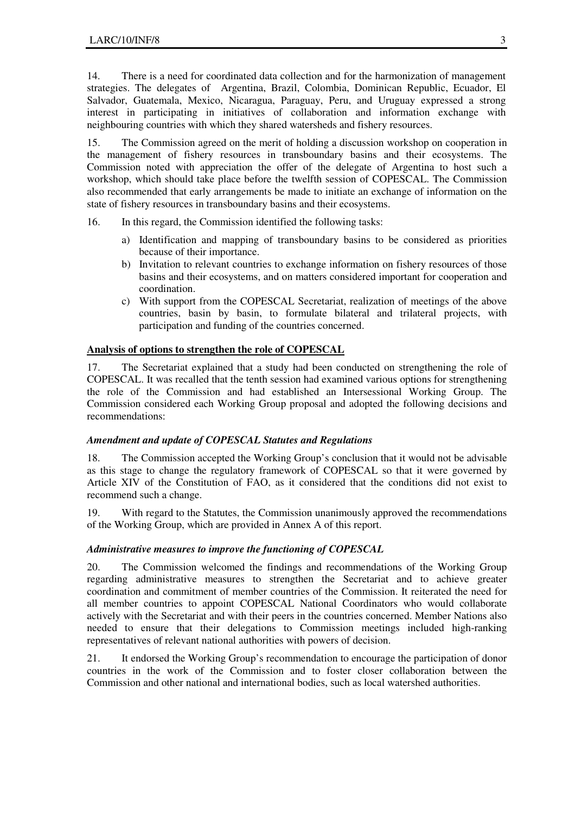14. There is a need for coordinated data collection and for the harmonization of management strategies. The delegates of Argentina, Brazil, Colombia, Dominican Republic, Ecuador, El Salvador, Guatemala, Mexico, Nicaragua, Paraguay, Peru, and Uruguay expressed a strong interest in participating in initiatives of collaboration and information exchange with neighbouring countries with which they shared watersheds and fishery resources.

15. The Commission agreed on the merit of holding a discussion workshop on cooperation in the management of fishery resources in transboundary basins and their ecosystems. The Commission noted with appreciation the offer of the delegate of Argentina to host such a workshop, which should take place before the twelfth session of COPESCAL. The Commission also recommended that early arrangements be made to initiate an exchange of information on the state of fishery resources in transboundary basins and their ecosystems.

- 16. In this regard, the Commission identified the following tasks:
	- a) Identification and mapping of transboundary basins to be considered as priorities because of their importance.
	- b) Invitation to relevant countries to exchange information on fishery resources of those basins and their ecosystems, and on matters considered important for cooperation and coordination.
	- c) With support from the COPESCAL Secretariat, realization of meetings of the above countries, basin by basin, to formulate bilateral and trilateral projects, with participation and funding of the countries concerned.

#### **Analysis of options to strengthen the role of COPESCAL**

17. The Secretariat explained that a study had been conducted on strengthening the role of COPESCAL. It was recalled that the tenth session had examined various options for strengthening the role of the Commission and had established an Intersessional Working Group. The Commission considered each Working Group proposal and adopted the following decisions and recommendations:

#### *Amendment and update of COPESCAL Statutes and Regulations*

18. The Commission accepted the Working Group's conclusion that it would not be advisable as this stage to change the regulatory framework of COPESCAL so that it were governed by Article XIV of the Constitution of FAO, as it considered that the conditions did not exist to recommend such a change.

19. With regard to the Statutes, the Commission unanimously approved the recommendations of the Working Group, which are provided in Annex A of this report.

#### *Administrative measures to improve the functioning of COPESCAL*

20. The Commission welcomed the findings and recommendations of the Working Group regarding administrative measures to strengthen the Secretariat and to achieve greater coordination and commitment of member countries of the Commission. It reiterated the need for all member countries to appoint COPESCAL National Coordinators who would collaborate actively with the Secretariat and with their peers in the countries concerned. Member Nations also needed to ensure that their delegations to Commission meetings included high-ranking representatives of relevant national authorities with powers of decision.

21. It endorsed the Working Group's recommendation to encourage the participation of donor countries in the work of the Commission and to foster closer collaboration between the Commission and other national and international bodies, such as local watershed authorities.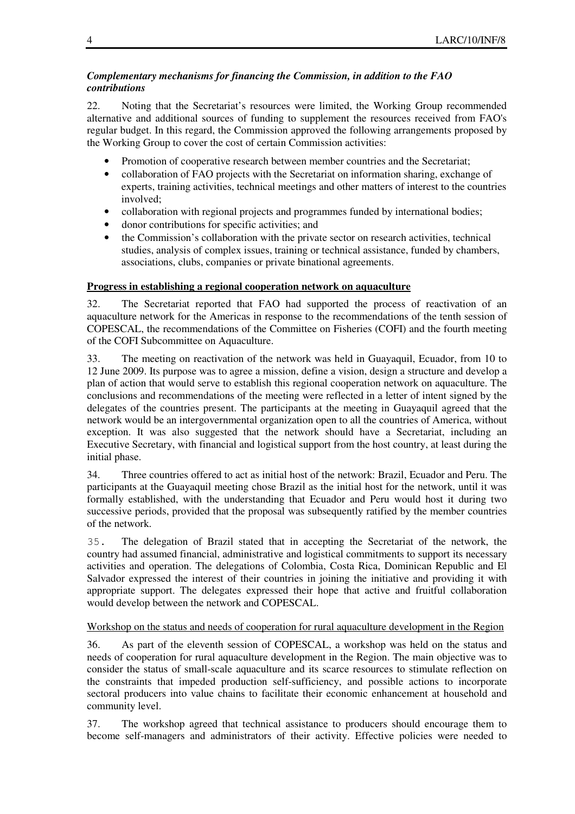### *Complementary mechanisms for financing the Commission, in addition to the FAO contributions*

22. Noting that the Secretariat's resources were limited, the Working Group recommended alternative and additional sources of funding to supplement the resources received from FAO's regular budget. In this regard, the Commission approved the following arrangements proposed by the Working Group to cover the cost of certain Commission activities:

- Promotion of cooperative research between member countries and the Secretariat;
- collaboration of FAO projects with the Secretariat on information sharing, exchange of experts, training activities, technical meetings and other matters of interest to the countries involved;
- collaboration with regional projects and programmes funded by international bodies;
- donor contributions for specific activities; and
- the Commission's collaboration with the private sector on research activities, technical studies, analysis of complex issues, training or technical assistance, funded by chambers, associations, clubs, companies or private binational agreements.

## **Progress in establishing a regional cooperation network on aquaculture**

32. The Secretariat reported that FAO had supported the process of reactivation of an aquaculture network for the Americas in response to the recommendations of the tenth session of COPESCAL, the recommendations of the Committee on Fisheries (COFI) and the fourth meeting of the COFI Subcommittee on Aquaculture.

33. The meeting on reactivation of the network was held in Guayaquil, Ecuador, from 10 to 12 June 2009. Its purpose was to agree a mission, define a vision, design a structure and develop a plan of action that would serve to establish this regional cooperation network on aquaculture. The conclusions and recommendations of the meeting were reflected in a letter of intent signed by the delegates of the countries present. The participants at the meeting in Guayaquil agreed that the network would be an intergovernmental organization open to all the countries of America, without exception. It was also suggested that the network should have a Secretariat, including an Executive Secretary, with financial and logistical support from the host country, at least during the initial phase.

34. Three countries offered to act as initial host of the network: Brazil, Ecuador and Peru. The participants at the Guayaquil meeting chose Brazil as the initial host for the network, until it was formally established, with the understanding that Ecuador and Peru would host it during two successive periods, provided that the proposal was subsequently ratified by the member countries of the network.

35. The delegation of Brazil stated that in accepting the Secretariat of the network, the country had assumed financial, administrative and logistical commitments to support its necessary activities and operation. The delegations of Colombia, Costa Rica, Dominican Republic and El Salvador expressed the interest of their countries in joining the initiative and providing it with appropriate support. The delegates expressed their hope that active and fruitful collaboration would develop between the network and COPESCAL.

## Workshop on the status and needs of cooperation for rural aquaculture development in the Region

36. As part of the eleventh session of COPESCAL, a workshop was held on the status and needs of cooperation for rural aquaculture development in the Region. The main objective was to consider the status of small-scale aquaculture and its scarce resources to stimulate reflection on the constraints that impeded production self-sufficiency, and possible actions to incorporate sectoral producers into value chains to facilitate their economic enhancement at household and community level.

37. The workshop agreed that technical assistance to producers should encourage them to become self-managers and administrators of their activity. Effective policies were needed to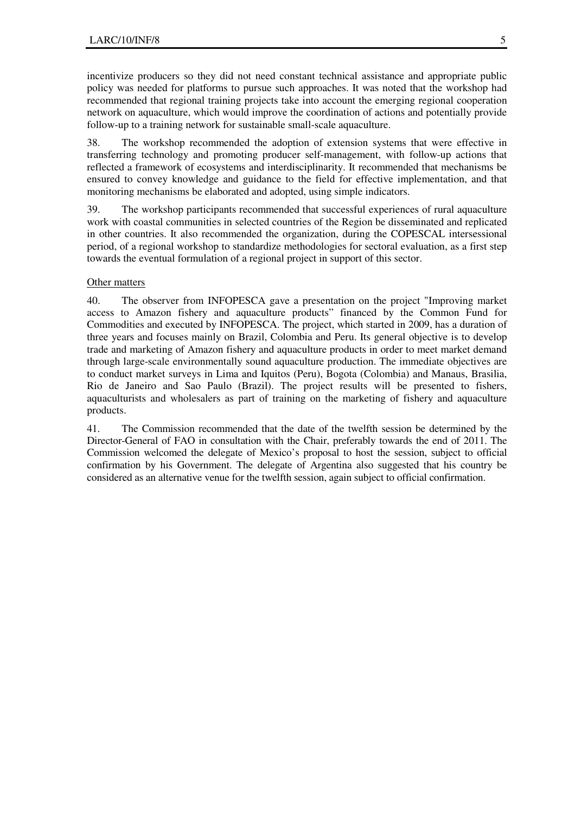incentivize producers so they did not need constant technical assistance and appropriate public policy was needed for platforms to pursue such approaches. It was noted that the workshop had recommended that regional training projects take into account the emerging regional cooperation network on aquaculture, which would improve the coordination of actions and potentially provide follow-up to a training network for sustainable small-scale aquaculture.

38. The workshop recommended the adoption of extension systems that were effective in transferring technology and promoting producer self-management, with follow-up actions that reflected a framework of ecosystems and interdisciplinarity. It recommended that mechanisms be ensured to convey knowledge and guidance to the field for effective implementation, and that monitoring mechanisms be elaborated and adopted, using simple indicators.

39. The workshop participants recommended that successful experiences of rural aquaculture work with coastal communities in selected countries of the Region be disseminated and replicated in other countries. It also recommended the organization, during the COPESCAL intersessional period, of a regional workshop to standardize methodologies for sectoral evaluation, as a first step towards the eventual formulation of a regional project in support of this sector.

#### Other matters

40. The observer from INFOPESCA gave a presentation on the project "Improving market access to Amazon fishery and aquaculture products" financed by the Common Fund for Commodities and executed by INFOPESCA. The project, which started in 2009, has a duration of three years and focuses mainly on Brazil, Colombia and Peru. Its general objective is to develop trade and marketing of Amazon fishery and aquaculture products in order to meet market demand through large-scale environmentally sound aquaculture production. The immediate objectives are to conduct market surveys in Lima and Iquitos (Peru), Bogota (Colombia) and Manaus, Brasilia, Rio de Janeiro and Sao Paulo (Brazil). The project results will be presented to fishers, aquaculturists and wholesalers as part of training on the marketing of fishery and aquaculture products.

41. The Commission recommended that the date of the twelfth session be determined by the Director-General of FAO in consultation with the Chair, preferably towards the end of 2011. The Commission welcomed the delegate of Mexico's proposal to host the session, subject to official confirmation by his Government. The delegate of Argentina also suggested that his country be considered as an alternative venue for the twelfth session, again subject to official confirmation.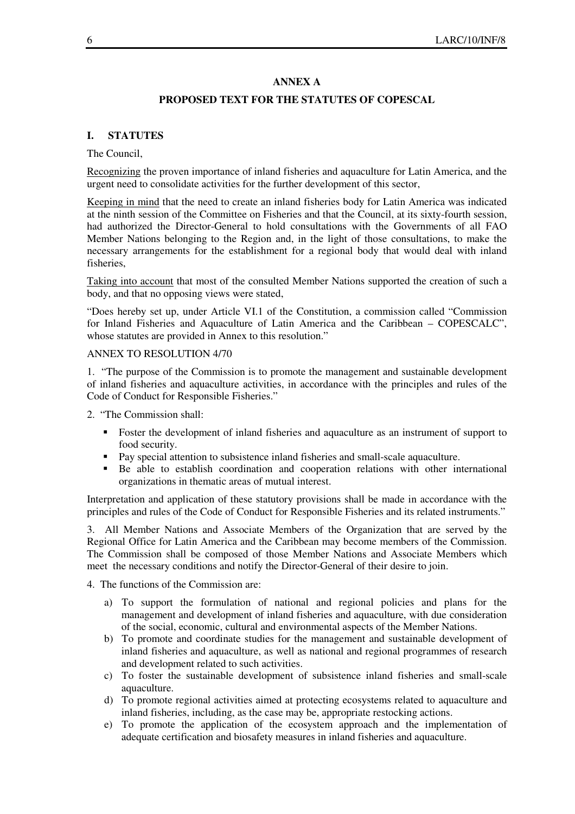#### **ANNEX A**

#### **PROPOSED TEXT FOR THE STATUTES OF COPESCAL**

#### **I. STATUTES**

#### The Council,

Recognizing the proven importance of inland fisheries and aquaculture for Latin America, and the urgent need to consolidate activities for the further development of this sector,

Keeping in mind that the need to create an inland fisheries body for Latin America was indicated at the ninth session of the Committee on Fisheries and that the Council, at its sixty-fourth session, had authorized the Director-General to hold consultations with the Governments of all FAO Member Nations belonging to the Region and, in the light of those consultations, to make the necessary arrangements for the establishment for a regional body that would deal with inland fisheries,

Taking into account that most of the consulted Member Nations supported the creation of such a body, and that no opposing views were stated,

"Does hereby set up, under Article VI.1 of the Constitution, a commission called "Commission for Inland Fisheries and Aquaculture of Latin America and the Caribbean – COPESCALC", whose statutes are provided in Annex to this resolution."

#### ANNEX TO RESOLUTION 4/70

1. "The purpose of the Commission is to promote the management and sustainable development of inland fisheries and aquaculture activities, in accordance with the principles and rules of the Code of Conduct for Responsible Fisheries."

2. "The Commission shall:

- Foster the development of inland fisheries and aquaculture as an instrument of support to food security.
- Pay special attention to subsistence inland fisheries and small-scale aquaculture.
- Be able to establish coordination and cooperation relations with other international organizations in thematic areas of mutual interest.

Interpretation and application of these statutory provisions shall be made in accordance with the principles and rules of the Code of Conduct for Responsible Fisheries and its related instruments."

3. All Member Nations and Associate Members of the Organization that are served by the Regional Office for Latin America and the Caribbean may become members of the Commission. The Commission shall be composed of those Member Nations and Associate Members which meet the necessary conditions and notify the Director-General of their desire to join.

4. The functions of the Commission are:

- a) To support the formulation of national and regional policies and plans for the management and development of inland fisheries and aquaculture, with due consideration of the social, economic, cultural and environmental aspects of the Member Nations.
- b) To promote and coordinate studies for the management and sustainable development of inland fisheries and aquaculture, as well as national and regional programmes of research and development related to such activities.
- c) To foster the sustainable development of subsistence inland fisheries and small-scale aquaculture.
- d) To promote regional activities aimed at protecting ecosystems related to aquaculture and inland fisheries, including, as the case may be, appropriate restocking actions.
- e) To promote the application of the ecosystem approach and the implementation of adequate certification and biosafety measures in inland fisheries and aquaculture.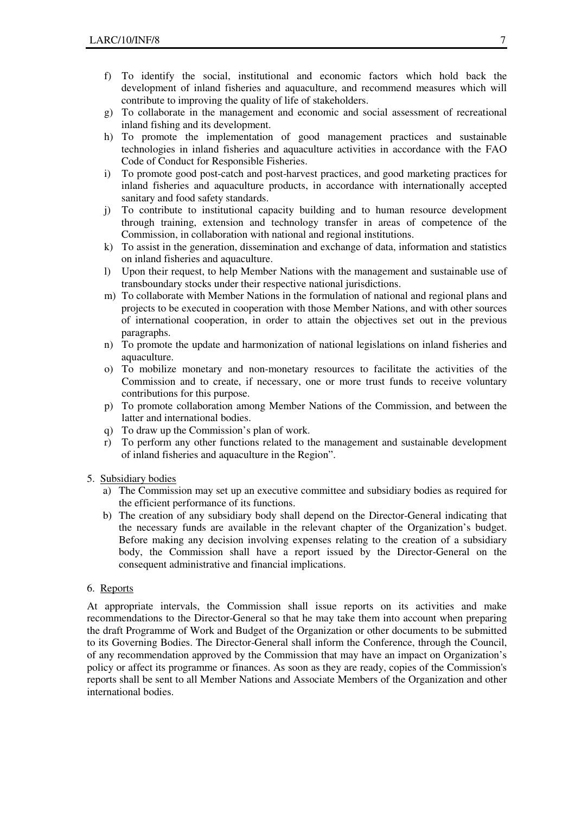- f) To identify the social, institutional and economic factors which hold back the development of inland fisheries and aquaculture, and recommend measures which will contribute to improving the quality of life of stakeholders.
- g) To collaborate in the management and economic and social assessment of recreational inland fishing and its development.
- h) To promote the implementation of good management practices and sustainable technologies in inland fisheries and aquaculture activities in accordance with the FAO Code of Conduct for Responsible Fisheries.
- i) To promote good post-catch and post-harvest practices, and good marketing practices for inland fisheries and aquaculture products, in accordance with internationally accepted sanitary and food safety standards.
- j) To contribute to institutional capacity building and to human resource development through training, extension and technology transfer in areas of competence of the Commission, in collaboration with national and regional institutions.
- k) To assist in the generation, dissemination and exchange of data, information and statistics on inland fisheries and aquaculture.
- l) Upon their request, to help Member Nations with the management and sustainable use of transboundary stocks under their respective national jurisdictions.
- m) To collaborate with Member Nations in the formulation of national and regional plans and projects to be executed in cooperation with those Member Nations, and with other sources of international cooperation, in order to attain the objectives set out in the previous paragraphs.
- n) To promote the update and harmonization of national legislations on inland fisheries and aquaculture.
- o) To mobilize monetary and non-monetary resources to facilitate the activities of the Commission and to create, if necessary, one or more trust funds to receive voluntary contributions for this purpose.
- p) To promote collaboration among Member Nations of the Commission, and between the latter and international bodies.
- q) To draw up the Commission's plan of work.
- r) To perform any other functions related to the management and sustainable development of inland fisheries and aquaculture in the Region".
- 5. Subsidiary bodies
	- a) The Commission may set up an executive committee and subsidiary bodies as required for the efficient performance of its functions.
	- b) The creation of any subsidiary body shall depend on the Director-General indicating that the necessary funds are available in the relevant chapter of the Organization's budget. Before making any decision involving expenses relating to the creation of a subsidiary body, the Commission shall have a report issued by the Director-General on the consequent administrative and financial implications.

#### 6. Reports

At appropriate intervals, the Commission shall issue reports on its activities and make recommendations to the Director-General so that he may take them into account when preparing the draft Programme of Work and Budget of the Organization or other documents to be submitted to its Governing Bodies. The Director-General shall inform the Conference, through the Council, of any recommendation approved by the Commission that may have an impact on Organization's policy or affect its programme or finances. As soon as they are ready, copies of the Commission's reports shall be sent to all Member Nations and Associate Members of the Organization and other international bodies.